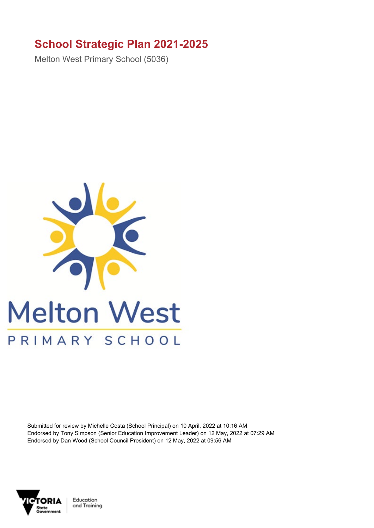## **School Strategic Plan 2021-2025**

Melton West Primary School (5036)



Submitted for review by Michelle Costa (School Principal) on 10 April, 2022 at 10:16 AM Endorsed by Tony Simpson (Senior Education Improvement Leader) on 12 May, 2022 at 07:29 AM Endorsed by Dan Wood (School Council President) on 12 May, 2022 at 09:56 AM

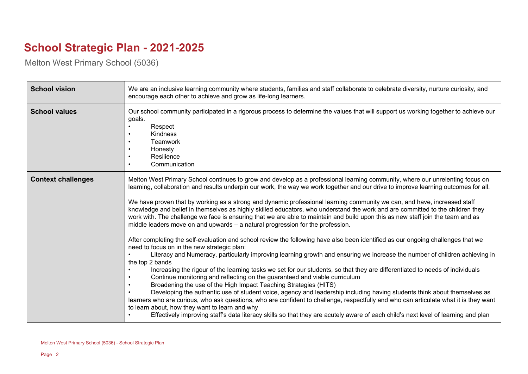## **School Strategic Plan - 2021-2025**

Melton West Primary School (5036)

| <b>School vision</b>      | We are an inclusive learning community where students, families and staff collaborate to celebrate diversity, nurture curiosity, and<br>encourage each other to achieve and grow as life-long learners.                                                                                                                                                                                                                                                                                                                                                                                                                                                                                                                                                                                                                                                                                                                                                                                                                                                                                                                                                                                                                                                                                                                                                                                                                                                                                                                                                                                                                                                                                                                                                                                                                                   |
|---------------------------|-------------------------------------------------------------------------------------------------------------------------------------------------------------------------------------------------------------------------------------------------------------------------------------------------------------------------------------------------------------------------------------------------------------------------------------------------------------------------------------------------------------------------------------------------------------------------------------------------------------------------------------------------------------------------------------------------------------------------------------------------------------------------------------------------------------------------------------------------------------------------------------------------------------------------------------------------------------------------------------------------------------------------------------------------------------------------------------------------------------------------------------------------------------------------------------------------------------------------------------------------------------------------------------------------------------------------------------------------------------------------------------------------------------------------------------------------------------------------------------------------------------------------------------------------------------------------------------------------------------------------------------------------------------------------------------------------------------------------------------------------------------------------------------------------------------------------------------------|
| <b>School values</b>      | Our school community participated in a rigorous process to determine the values that will support us working together to achieve our<br>goals.<br>Respect<br><b>Kindness</b><br>Teamwork<br>Honesty<br>Resilience<br>Communication                                                                                                                                                                                                                                                                                                                                                                                                                                                                                                                                                                                                                                                                                                                                                                                                                                                                                                                                                                                                                                                                                                                                                                                                                                                                                                                                                                                                                                                                                                                                                                                                        |
| <b>Context challenges</b> | Melton West Primary School continues to grow and develop as a professional learning community, where our unrelenting focus on<br>learning, collaboration and results underpin our work, the way we work together and our drive to improve learning outcomes for all.<br>We have proven that by working as a strong and dynamic professional learning community we can, and have, increased staff<br>knowledge and belief in themselves as highly skilled educators, who understand the work and are committed to the children they<br>work with. The challenge we face is ensuring that we are able to maintain and build upon this as new staff join the team and as<br>middle leaders move on and upwards - a natural progression for the profession.<br>After completing the self-evaluation and school review the following have also been identified as our ongoing challenges that we<br>need to focus on in the new strategic plan:<br>Literacy and Numeracy, particularly improving learning growth and ensuring we increase the number of children achieving in<br>the top 2 bands<br>Increasing the rigour of the learning tasks we set for our students, so that they are differentiated to needs of individuals<br>Continue monitoring and reflecting on the guaranteed and viable curriculum<br>Broadening the use of the High Impact Teaching Strategies (HITS)<br>Developing the authentic use of student voice, agency and leadership including having students think about themselves as<br>learners who are curious, who ask questions, who are confident to challenge, respectfully and who can articulate what it is they want<br>to learn about, how they want to learn and why<br>Effectively improving staff's data literacy skills so that they are acutely aware of each child's next level of learning and plan |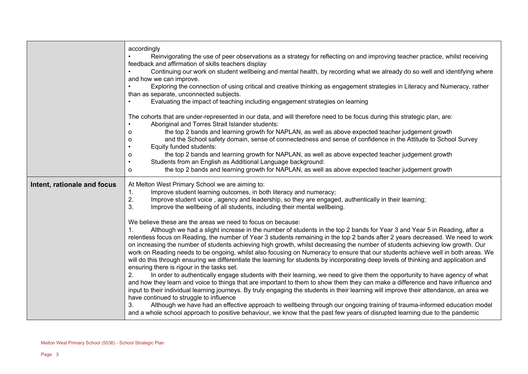|                             | accordingly<br>Reinvigorating the use of peer observations as a strategy for reflecting on and improving teacher practice, whilst receiving<br>feedback and affirmation of skills teachers display<br>Continuing our work on student wellbeing and mental health, by recording what we already do so well and identifying where<br>and how we can improve.<br>Exploring the connection of using critical and creative thinking as engagement strategies in Literacy and Numeracy, rather<br>than as separate, unconnected subjects.<br>Evaluating the impact of teaching including engagement strategies on learning                                                                                                                                                                                 |  |
|-----------------------------|------------------------------------------------------------------------------------------------------------------------------------------------------------------------------------------------------------------------------------------------------------------------------------------------------------------------------------------------------------------------------------------------------------------------------------------------------------------------------------------------------------------------------------------------------------------------------------------------------------------------------------------------------------------------------------------------------------------------------------------------------------------------------------------------------|--|
|                             | The cohorts that are under-represented in our data, and will therefore need to be focus during this strategic plan, are:<br>Aboriginal and Torres Strait Islander students:<br>the top 2 bands and learning growth for NAPLAN, as well as above expected teacher judgement growth<br>o<br>and the School safety domain, sense of connectedness and sense of confidence in the Attitude to School Survey<br>o<br>Equity funded students:<br>$\bullet$                                                                                                                                                                                                                                                                                                                                                 |  |
|                             | the top 2 bands and learning growth for NAPLAN, as well as above expected teacher judgement growth<br>o<br>Students from an English as Additional Language background:<br>$\bullet$<br>the top 2 bands and learning growth for NAPLAN, as well as above expected teacher judgement growth<br>o                                                                                                                                                                                                                                                                                                                                                                                                                                                                                                       |  |
| Intent, rationale and focus | At Melton West Primary School we are aiming to:<br>Improve student learning outcomes, in both literacy and numeracy;<br>1.<br>2.<br>Improve student voice, agency and leadership, so they are engaged, authentically in their learning;<br>3.<br>Improve the wellbeing of all students, including their mental wellbeing.                                                                                                                                                                                                                                                                                                                                                                                                                                                                            |  |
|                             | We believe these are the areas we need to focus on because:<br>1.<br>Although we had a slight increase in the number of students in the top 2 bands for Year 3 and Year 5 in Reading, after a<br>relentless focus on Reading, the number of Year 3 students remaining in the top 2 bands after 2 years decreased. We need to work<br>on increasing the number of students achieving high growth, whilst decreasing the number of students achieving low growth. Our<br>work on Reading needs to be ongoing, whilst also focusing on Numeracy to ensure that our students achieve well in both areas. We<br>will do this through ensuring we differentiate the learning for students by incorporating deep levels of thinking and application and<br>ensuring there is rigour in the tasks set.<br>2. |  |
|                             | In order to authentically engage students with their learning, we need to give them the opportunity to have agency of what<br>and how they learn and voice to things that are important to them to show them they can make a difference and have influence and<br>input to their individual learning journeys. By truly engaging the students in their learning will improve their attendance, an area we<br>have continued to struggle to influence<br>Although we have had an effective approach to wellbeing through our ongoing training of trauma-informed education model<br>3.<br>and a whole school approach to positive behaviour, we know that the past few years of disrupted learning due to the pandemic                                                                                |  |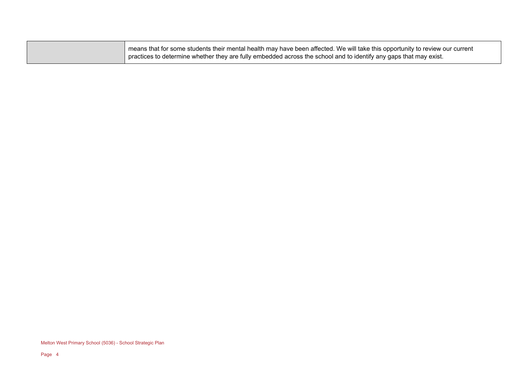| means that for some students their mental health may have been affected. We will take this opportunity to review our current |
|------------------------------------------------------------------------------------------------------------------------------|
| practices to determine whether they are fully embedded across the school and to identify any gaps that may exist.            |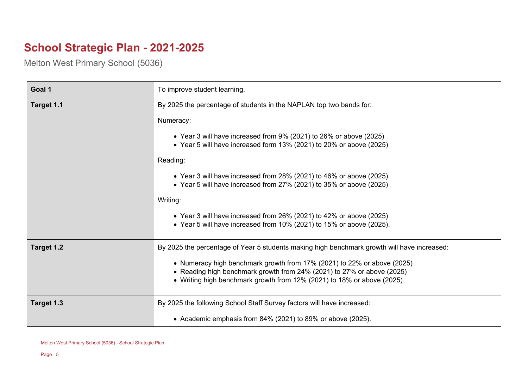## **School Strategic Plan - 2021-2025**

Melton West Primary School (5036)

| Goal 1     | To improve student learning.                                                                                                                                                                                                 |
|------------|------------------------------------------------------------------------------------------------------------------------------------------------------------------------------------------------------------------------------|
| Target 1.1 | By 2025 the percentage of students in the NAPLAN top two bands for:                                                                                                                                                          |
|            | Numeracy:                                                                                                                                                                                                                    |
|            | • Year 3 will have increased from 9% (2021) to 26% or above (2025)<br>• Year 5 will have increased form 13% (2021) to 20% or above (2025)                                                                                    |
|            | Reading:                                                                                                                                                                                                                     |
|            | • Year 3 will have increased from 28% (2021) to 46% or above (2025)<br>• Year 5 will have increased from 27% (2021) to 35% or above (2025)                                                                                   |
|            | Writing:                                                                                                                                                                                                                     |
|            | • Year 3 will have increased from 26% (2021) to 42% or above (2025)<br>• Year 5 will have increased from 10% (2021) to 15% or above (2025).                                                                                  |
| Target 1.2 | By 2025 the percentage of Year 5 students making high benchmark growth will have increased:                                                                                                                                  |
|            | • Numeracy high benchmark growth from 17% (2021) to 22% or above (2025)<br>• Reading high benchmark growth from 24% (2021) to 27% or above (2025)<br>• Writing high benchmark growth from 12% (2021) to 18% or above (2025). |
| Target 1.3 | By 2025 the following School Staff Survey factors will have increased:                                                                                                                                                       |
|            | • Academic emphasis from 84% (2021) to 89% or above (2025).                                                                                                                                                                  |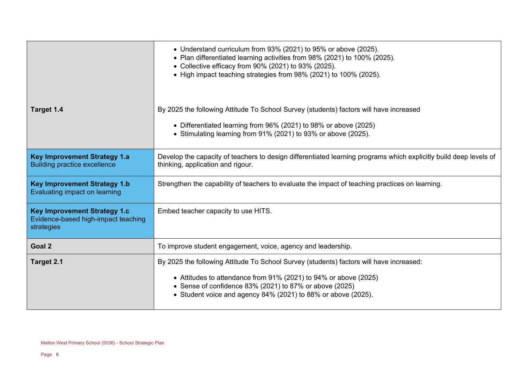|                                                                                          | • Understand curriculum from 93% (2021) to 95% or above (2025).<br>• Plan differentiated learning activities from 98% (2021) to 100% (2025).<br>• Collective efficacy from 90% (2021) to 93% (2025).<br>• High impact teaching strategies from 98% (2021) to 100% (2025).               |
|------------------------------------------------------------------------------------------|-----------------------------------------------------------------------------------------------------------------------------------------------------------------------------------------------------------------------------------------------------------------------------------------|
| Target 1.4                                                                               | By 2025 the following Attitude To School Survey (students) factors will have increased                                                                                                                                                                                                  |
|                                                                                          | • Differentiated learning from 96% (2021) to 98% or above (2025)<br>• Stimulating learning from 91% (2021) to 93% or above (2025).                                                                                                                                                      |
| <b>Key Improvement Strategy 1.a</b><br><b>Building practice excellence</b>               | Develop the capacity of teachers to design differentiated learning programs which explicitly build deep levels of<br>thinking, application and rigour.                                                                                                                                  |
| <b>Key Improvement Strategy 1.b</b><br>Evaluating impact on learning                     | Strengthen the capability of teachers to evaluate the impact of teaching practices on learning.                                                                                                                                                                                         |
| <b>Key Improvement Strategy 1.c</b><br>Evidence-based high-impact teaching<br>strategies | Embed teacher capacity to use HITS.                                                                                                                                                                                                                                                     |
| Goal 2                                                                                   | To improve student engagement, voice, agency and leadership.                                                                                                                                                                                                                            |
| Target 2.1                                                                               | By 2025 the following Attitude To School Survey (students) factors will have increased:<br>• Attitudes to attendance from 91% (2021) to 94% or above (2025)<br>• Sense of confidence 83% (2021) to 87% or above (2025)<br>• Student voice and agency 84% (2021) to 88% or above (2025). |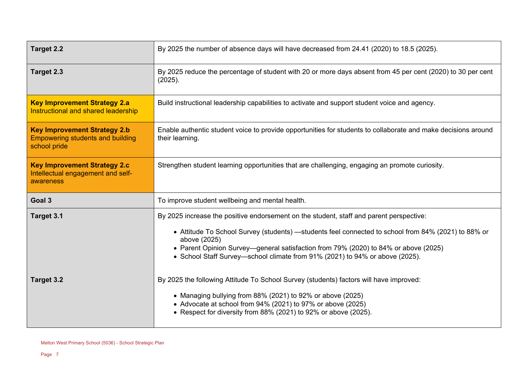| Target 2.2                                                                                     | By 2025 the number of absence days will have decreased from 24.41 (2020) to 18.5 (2025).                                                                                                                                                                                                                                                                                              |
|------------------------------------------------------------------------------------------------|---------------------------------------------------------------------------------------------------------------------------------------------------------------------------------------------------------------------------------------------------------------------------------------------------------------------------------------------------------------------------------------|
| <b>Target 2.3</b>                                                                              | By 2025 reduce the percentage of student with 20 or more days absent from 45 per cent (2020) to 30 per cent<br>(2025).                                                                                                                                                                                                                                                                |
| <b>Key Improvement Strategy 2.a</b><br>Instructional and shared leadership                     | Build instructional leadership capabilities to activate and support student voice and agency.                                                                                                                                                                                                                                                                                         |
| <b>Key Improvement Strategy 2.b</b><br><b>Empowering students and building</b><br>school pride | Enable authentic student voice to provide opportunities for students to collaborate and make decisions around<br>their learning.                                                                                                                                                                                                                                                      |
| <b>Key Improvement Strategy 2.c</b><br>Intellectual engagement and self-<br>awareness          | Strengthen student learning opportunities that are challenging, engaging an promote curiosity.                                                                                                                                                                                                                                                                                        |
| Goal 3                                                                                         | To improve student wellbeing and mental health.                                                                                                                                                                                                                                                                                                                                       |
| Target 3.1                                                                                     | By 2025 increase the positive endorsement on the student, staff and parent perspective:<br>• Attitude To School Survey (students) —students feel connected to school from 84% (2021) to 88% or<br>above (2025)<br>• Parent Opinion Survey—general satisfaction from 79% (2020) to 84% or above (2025)<br>• School Staff Survey-school climate from 91% (2021) to 94% or above (2025). |
| Target 3.2                                                                                     | By 2025 the following Attitude To School Survey (students) factors will have improved:<br>• Managing bullying from 88% (2021) to 92% or above (2025)<br>• Advocate at school from 94% (2021) to 97% or above (2025)<br>• Respect for diversity from 88% (2021) to 92% or above (2025).                                                                                                |